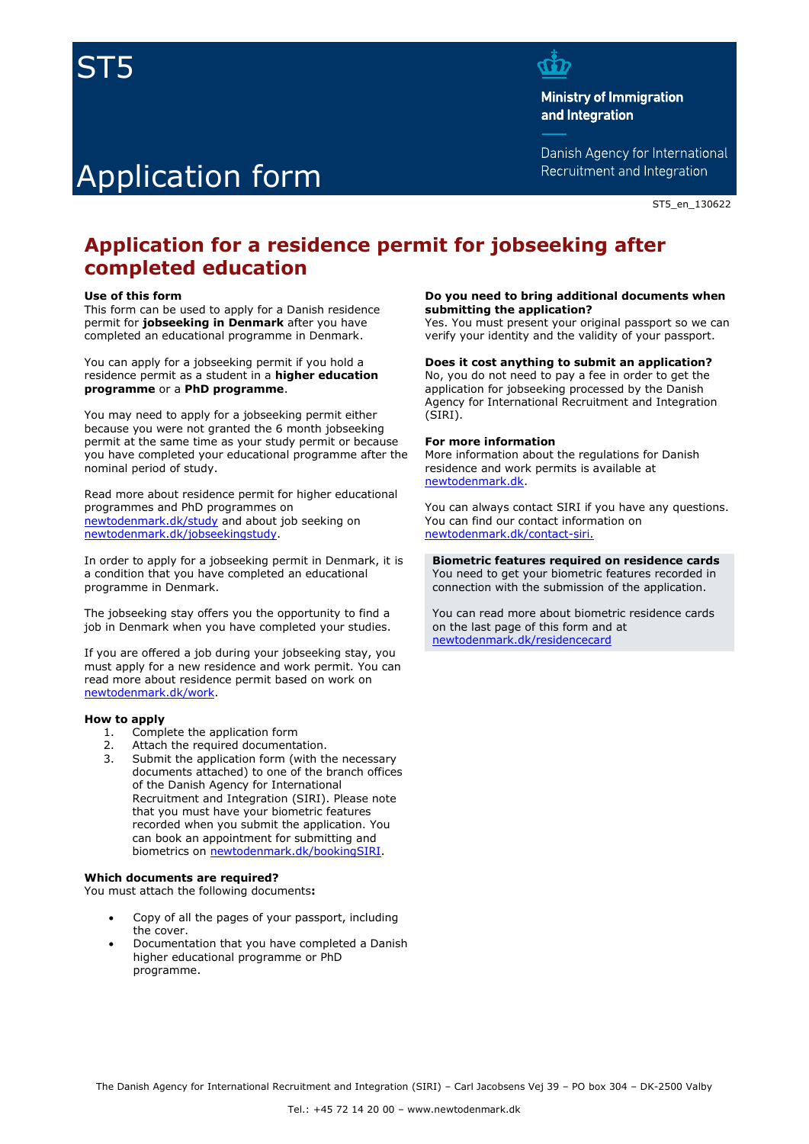# ST5

# Application form ī

**Ministry of Immigration** and Integration

Danish Agency for International Recruitment and Integration

ST5\_en\_130622

# **Application for a residence permit for jobseeking after completed education**

#### **Use of this form**

This form can be used to apply for a Danish residence permit for **jobseeking in Denmark** after you have completed an educational programme in Denmark.

You can apply for a jobseeking permit if you hold a residence permit as a student in a **higher education programme** or a **PhD programme**.

You may need to apply for a jobseeking permit either because you were not granted the 6 month jobseeking permit at the same time as your study permit or because you have completed your educational programme after the nominal period of study.

Read more about residence permit for higher educational programmes and PhD programmes on [newtodenmark.dk/study](http://www.newtodenmark.dk/study) and about job seeking on [newtodenmark.dk/jobseekingstudy.](http://www.newtodenmark.dk/jobseekingstudy)

In order to apply for a jobseeking permit in Denmark, it is a condition that you have completed an educational programme in Denmark.

The jobseeking stay offers you the opportunity to find a job in Denmark when you have completed your studies.

If you are offered a job during your jobseeking stay, you must apply for a new residence and work permit. You can read more about residence permit based on work on [newtodenmark.dk/work.](http://www.newtodenmark.dk/work)

#### **How to apply**

- 1. Complete the application form
- 2. Attach the required documentation.
- 3. Submit the application form (with the necessary documents attached) to one of the branch offices of the Danish Agency for International Recruitment and Integration (SIRI). Please note that you must have your biometric features recorded when you submit the application. You can book an appointment for submitting and biometrics on [newtodenmark.dk/bookingSIRI.](http://www.newtodenmark.dk/bookingSIRI)

#### **Which documents are required?**

You must attach the following documents**:**

- Copy of all the pages of your passport, including the cover.
- Documentation that you have completed a Danish higher educational programme or PhD programme.

#### **Do you need to bring additional documents when submitting the application?**

Yes. You must present your original passport so we can verify your identity and the validity of your passport.

### **Does it cost anything to submit an application?**

No, you do not need to pay a fee in order to get the application for jobseeking processed by the Danish Agency for International Recruitment and Integration (SIRI).

#### **For more information**

More information about the regulations for Danish residence and work permits is available at [newtodenmark.dk.](http://www.newtodenmark.dk/)

You can always contact SIRI if you have any questions. You can find our contact information on [newtodenmark.dk/contact-siri.](http://www.newtodenmark.dk/contact-siri)

**Biometric features required on residence cards**  You need to get your biometric features recorded in connection with the submission of the application.

You can read more about biometric residence cards on the last page of this form and at [newtodenmark.dk/residencecard](http://www.newtodenmark.dk/residencecard)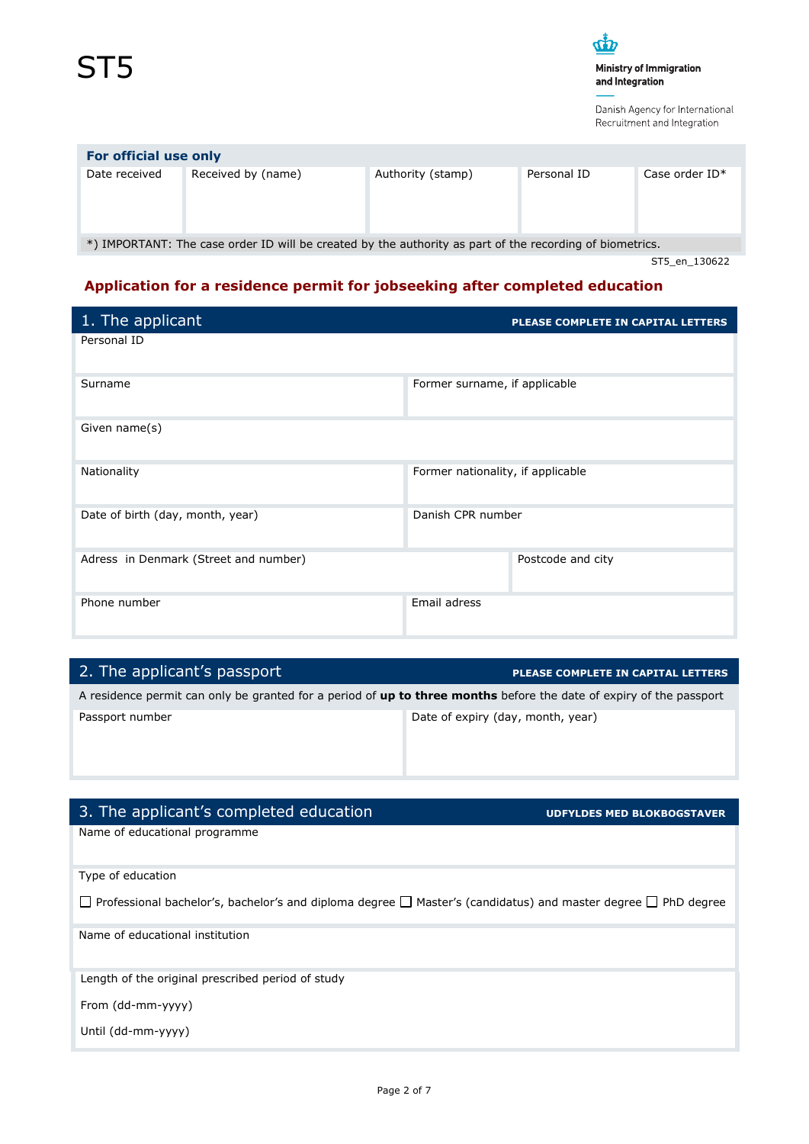

\*) IMPORTANT: The case order ID will be created by the authority as part of the recording of biometrics.

ST5\_en\_130622

# **Application for a residence permit for jobseeking after completed education**

| 1. The applicant                      | PLEASE COMPLETE IN CAPITAL LETTERS |
|---------------------------------------|------------------------------------|
| Personal ID                           |                                    |
| Surname                               | Former surname, if applicable      |
| Given name(s)                         |                                    |
| Nationality                           | Former nationality, if applicable  |
| Date of birth (day, month, year)      | Danish CPR number                  |
| Adress in Denmark (Street and number) | Postcode and city                  |
| Phone number                          | Email adress                       |

| 2. The applicant's passport                                                                                                | PLEASE COMPLETE IN CAPITAL LETTERS |
|----------------------------------------------------------------------------------------------------------------------------|------------------------------------|
| A residence permit can only be granted for a period of <b>up to three months</b> before the date of expiry of the passport |                                    |
| Passport number                                                                                                            | Date of expiry (day, month, year)  |

# 3. The applicant's completed education **UPS 2008 CONFIDED MED BLOKBOGSTAVER**

Name of educational programme

Type of education

 $\Box$  Professional bachelor's, bachelor's and diploma degree  $\Box$  Master's (candidatus) and master degree  $\Box$  PhD degree

Name of educational institution

Length of the original prescribed period of study

From (dd-mm-yyyy)

Until (dd-mm-yyyy)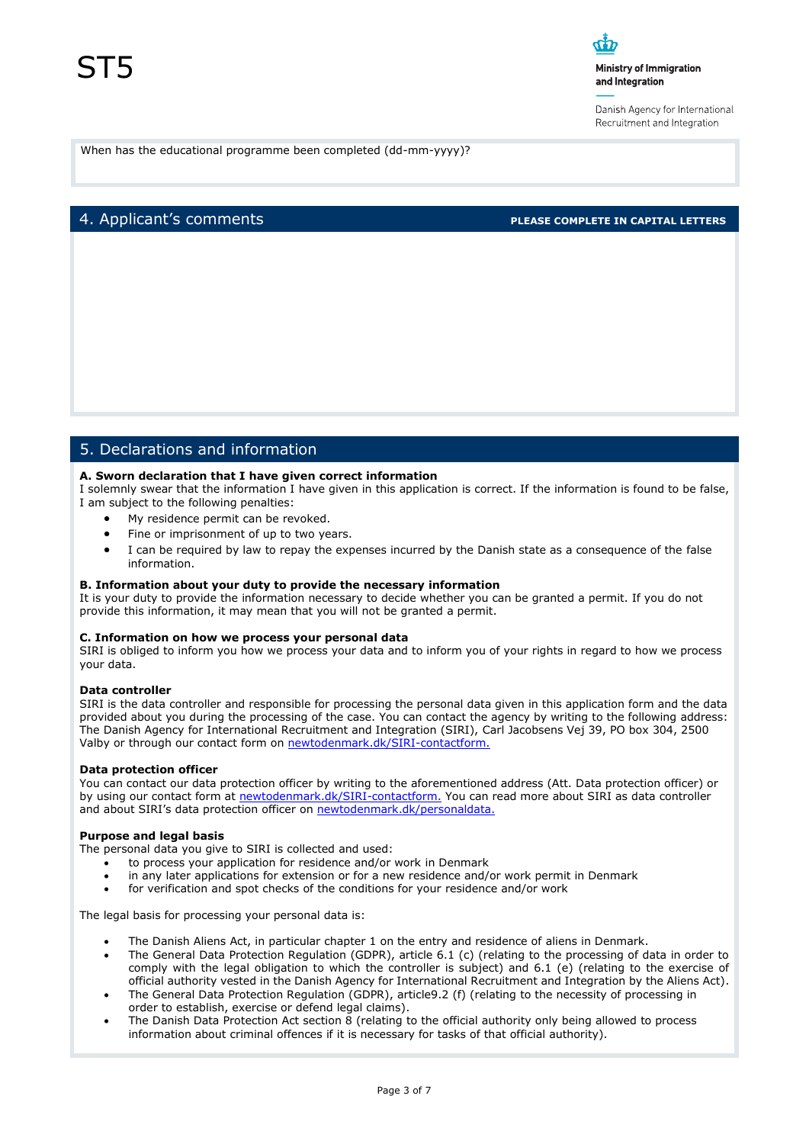#### Ministry of Immigration and Integration

Danish Agency for International Recruitment and Integration

When has the educational programme been completed (dd-mm-yyyy)?

# 4. Applicant's comments **PLEASE COMPLETE IN CAPITAL LETTERS**

# 5. Declarations and information

#### **A. Sworn declaration that I have given correct information**

I solemnly swear that the information I have given in this application is correct. If the information is found to be false, I am subject to the following penalties:

- My residence permit can be revoked.
- Fine or imprisonment of up to two years.
- I can be required by law to repay the expenses incurred by the Danish state as a consequence of the false information.

#### **B. Information about your duty to provide the necessary information**

It is your duty to provide the information necessary to decide whether you can be granted a permit. If you do not provide this information, it may mean that you will not be granted a permit.

#### **C. Information on how we process your personal data**

SIRI is obliged to inform you how we process your data and to inform you of your rights in regard to how we process your data.

#### **Data controller**

SIRI is the data controller and responsible for processing the personal data given in this application form and the data provided about you during the processing of the case. You can contact the agency by writing to the following address: The Danish Agency for International Recruitment and Integration (SIRI), Carl Jacobsens Vej 39, PO box 304, 2500 Valby or through our contact form on [newtodenmark.dk/SIRI-contactform.](http://www.newtodenmark.dk/SIRI-contactform)

#### **Data protection officer**

You can contact our data protection officer by writing to the aforementioned address (Att. Data protection officer) or by using our contact form at [newtodenmark.dk/SIRI-contactform.](http://www.newtodenmark.dk/SIRI-contactform) You can read more about SIRI as data controller and about SIRI's data protection officer on [newtodenmark.dk/personaldata.](http://www.newtodenmark.dk/personaldata)

#### **Purpose and legal basis**

The personal data you give to SIRI is collected and used:

- to process your application for residence and/or work in Denmark
- in any later applications for extension or for a new residence and/or work permit in Denmark
- for verification and spot checks of the conditions for your residence and/or work

The legal basis for processing your personal data is:

- The Danish Aliens Act, in particular chapter 1 on the entry and residence of aliens in Denmark.
- The General Data Protection Regulation (GDPR), article 6.1 (c) (relating to the processing of data in order to comply with the legal obligation to which the controller is subject) and 6.1 (e) (relating to the exercise of official authority vested in the Danish Agency for International Recruitment and Integration by the Aliens Act).
- The General Data Protection Regulation (GDPR), article9.2 (f) (relating to the necessity of processing in order to establish, exercise or defend legal claims).
- The Danish Data Protection Act section 8 (relating to the official authority only being allowed to process information about criminal offences if it is necessary for tasks of that official authority).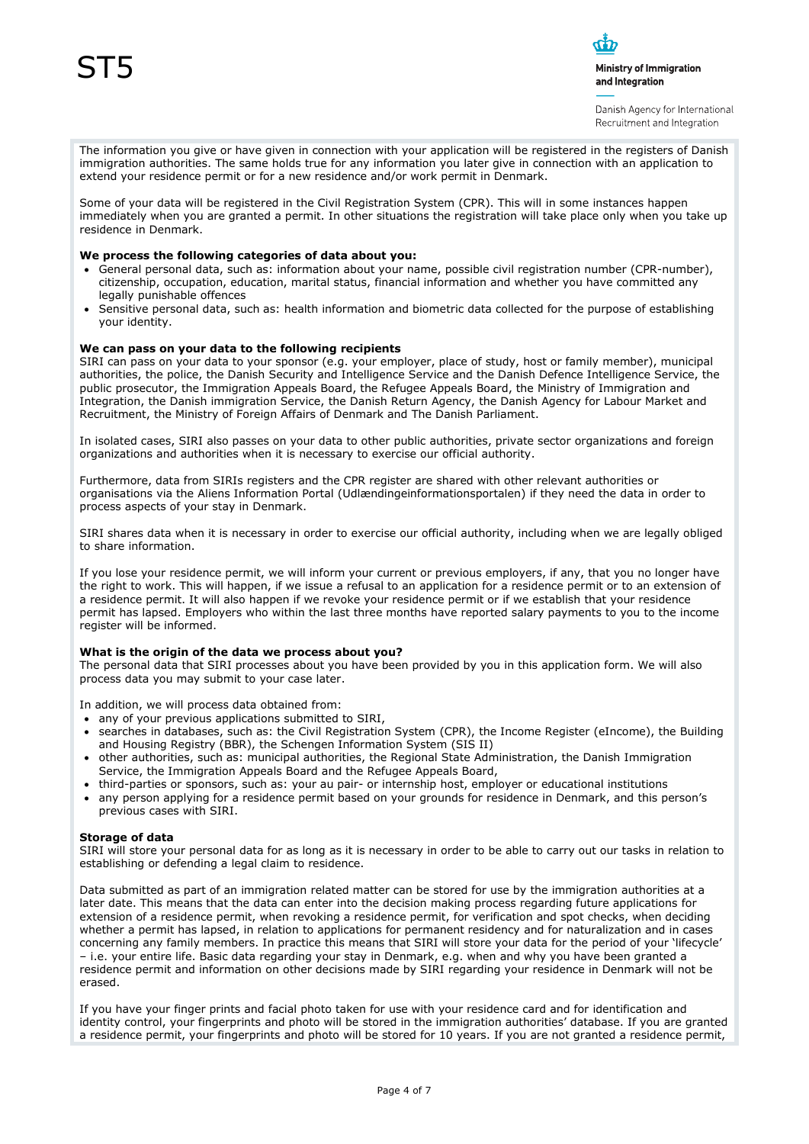

Danish Agency for International Recruitment and Integration

The information you give or have given in connection with your application will be registered in the registers of Danish immigration authorities. The same holds true for any information you later give in connection with an application to extend your residence permit or for a new residence and/or work permit in Denmark.

Some of your data will be registered in the Civil Registration System (CPR). This will in some instances happen immediately when you are granted a permit. In other situations the registration will take place only when you take up residence in Denmark.

#### **We process the following categories of data about you:**

- General personal data, such as: information about your name, possible civil registration number (CPR-number), citizenship, occupation, education, marital status, financial information and whether you have committed any legally punishable offences
- Sensitive personal data, such as: health information and biometric data collected for the purpose of establishing your identity.

#### **We can pass on your data to the following recipients**

SIRI can pass on your data to your sponsor (e.g. your employer, place of study, host or family member), municipal authorities, the police, the Danish Security and Intelligence Service and the Danish Defence Intelligence Service, the public prosecutor, the Immigration Appeals Board, the Refugee Appeals Board, the Ministry of Immigration and Integration, the Danish immigration Service, the Danish Return Agency, the Danish Agency for Labour Market and Recruitment, the Ministry of Foreign Affairs of Denmark and The Danish Parliament.

In isolated cases, SIRI also passes on your data to other public authorities, private sector organizations and foreign organizations and authorities when it is necessary to exercise our official authority.

Furthermore, data from SIRIs registers and the CPR register are shared with other relevant authorities or organisations via the Aliens Information Portal (Udlændingeinformationsportalen) if they need the data in order to process aspects of your stay in Denmark.

SIRI shares data when it is necessary in order to exercise our official authority, including when we are legally obliged to share information.

If you lose your residence permit, we will inform your current or previous employers, if any, that you no longer have the right to work. This will happen, if we issue a refusal to an application for a residence permit or to an extension of a residence permit. It will also happen if we revoke your residence permit or if we establish that your residence permit has lapsed. Employers who within the last three months have reported salary payments to you to the income register will be informed.

#### **What is the origin of the data we process about you?**

The personal data that SIRI processes about you have been provided by you in this application form. We will also process data you may submit to your case later.

In addition, we will process data obtained from:

- any of your previous applications submitted to SIRI,
- searches in databases, such as: the Civil Registration System (CPR), the Income Register (eIncome), the Building and Housing Registry (BBR), the Schengen Information System (SIS II)
- other authorities, such as: municipal authorities, the Regional State Administration, the Danish Immigration Service, the Immigration Appeals Board and the Refugee Appeals Board,
- third-parties or sponsors, such as: your au pair- or internship host, employer or educational institutions
- any person applying for a residence permit based on your grounds for residence in Denmark, and this person's previous cases with SIRI.

#### **Storage of data**

SIRI will store your personal data for as long as it is necessary in order to be able to carry out our tasks in relation to establishing or defending a legal claim to residence.

Data submitted as part of an immigration related matter can be stored for use by the immigration authorities at a later date. This means that the data can enter into the decision making process regarding future applications for extension of a residence permit, when revoking a residence permit, for verification and spot checks, when deciding whether a permit has lapsed, in relation to applications for permanent residency and for naturalization and in cases concerning any family members. In practice this means that SIRI will store your data for the period of your 'lifecycle' – i.e. your entire life. Basic data regarding your stay in Denmark, e.g. when and why you have been granted a residence permit and information on other decisions made by SIRI regarding your residence in Denmark will not be erased.

If you have your finger prints and facial photo taken for use with your residence card and for identification and identity control, your fingerprints and photo will be stored in the immigration authorities' database. If you are granted a residence permit, your fingerprints and photo will be stored for 10 years. If you are not granted a residence permit,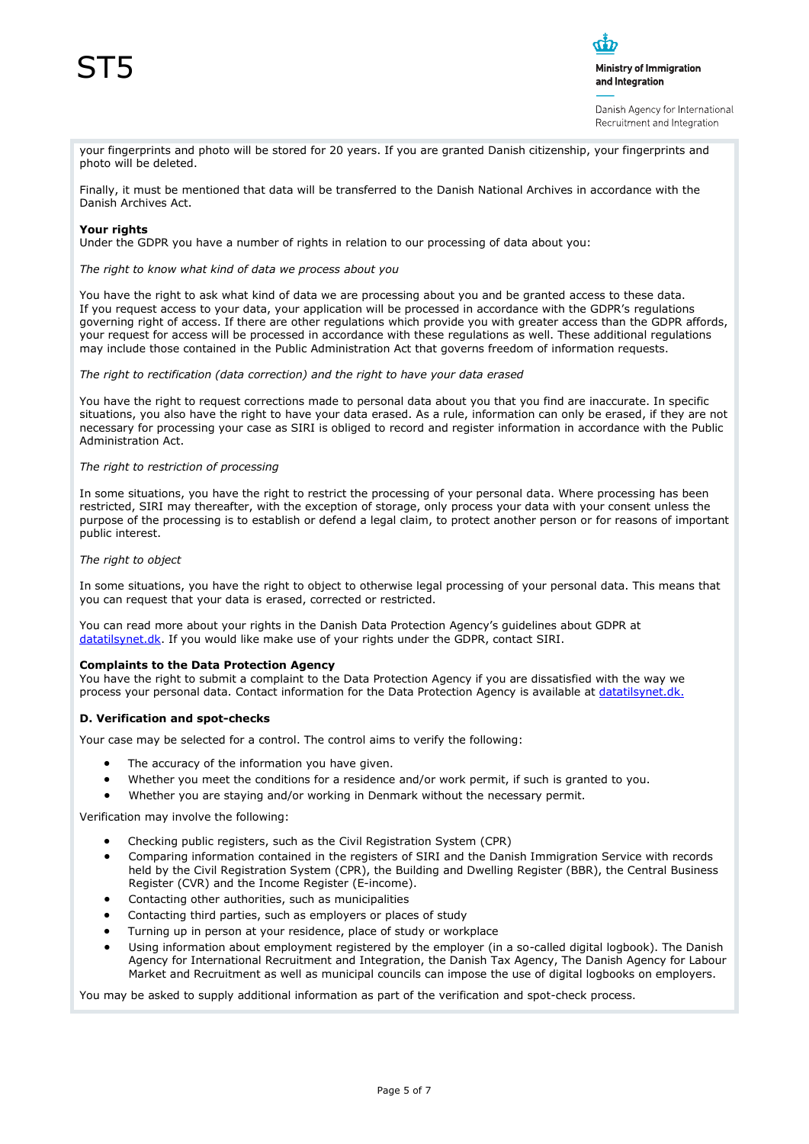

Danish Agency for International Recruitment and Integration

your fingerprints and photo will be stored for 20 years. If you are granted Danish citizenship, your fingerprints and photo will be deleted.

Finally, it must be mentioned that data will be transferred to the Danish National Archives in accordance with the Danish Archives Act.

#### **Your rights**

Under the GDPR you have a number of rights in relation to our processing of data about you:

*The right to know what kind of data we process about you*

You have the right to ask what kind of data we are processing about you and be granted access to these data. If you request access to your data, your application will be processed in accordance with the GDPR's regulations governing right of access. If there are other regulations which provide you with greater access than the GDPR affords, your request for access will be processed in accordance with these regulations as well. These additional regulations may include those contained in the Public Administration Act that governs freedom of information requests.

*The right to rectification (data correction) and the right to have your data erased*

You have the right to request corrections made to personal data about you that you find are inaccurate. In specific situations, you also have the right to have your data erased. As a rule, information can only be erased, if they are not necessary for processing your case as SIRI is obliged to record and register information in accordance with the Public Administration Act.

#### *The right to restriction of processing*

In some situations, you have the right to restrict the processing of your personal data. Where processing has been restricted, SIRI may thereafter, with the exception of storage, only process your data with your consent unless the purpose of the processing is to establish or defend a legal claim, to protect another person or for reasons of important public interest.

#### *The right to object*

In some situations, you have the right to object to otherwise legal processing of your personal data. This means that you can request that your data is erased, corrected or restricted.

You can read more about your rights in the Danish Data Protection Agency's guidelines about GDPR at [datatilsynet.dk.](http://www.datatilsynet.dk/) If you would like make use of your rights under the GDPR, contact SIRI.

#### **Complaints to the Data Protection Agency**

You have the right to submit a complaint to the Data Protection Agency if you are dissatisfied with the way we process your personal data. Contact information for the Data Protection Agency is available at [datatilsynet.dk.](http://www.datatilsynet.dk/)

#### **D. Verification and spot-checks**

Your case may be selected for a control. The control aims to verify the following:

- The accuracy of the information you have given.
- Whether you meet the conditions for a residence and/or work permit, if such is granted to you.
- Whether you are staying and/or working in Denmark without the necessary permit.

Verification may involve the following:

- Checking public registers, such as the Civil Registration System (CPR)
- Comparing information contained in the registers of SIRI and the Danish Immigration Service with records held by the Civil Registration System (CPR), the Building and Dwelling Register (BBR), the Central Business Register (CVR) and the Income Register (E-income).
- Contacting other authorities, such as municipalities
- Contacting third parties, such as employers or places of study
- Turning up in person at your residence, place of study or workplace
- Using information about employment registered by the employer (in a so-called digital logbook). The Danish Agency for International Recruitment and Integration, the Danish Tax Agency, The Danish Agency for Labour Market and Recruitment as well as municipal councils can impose the use of digital logbooks on employers.

You may be asked to supply additional information as part of the verification and spot-check process.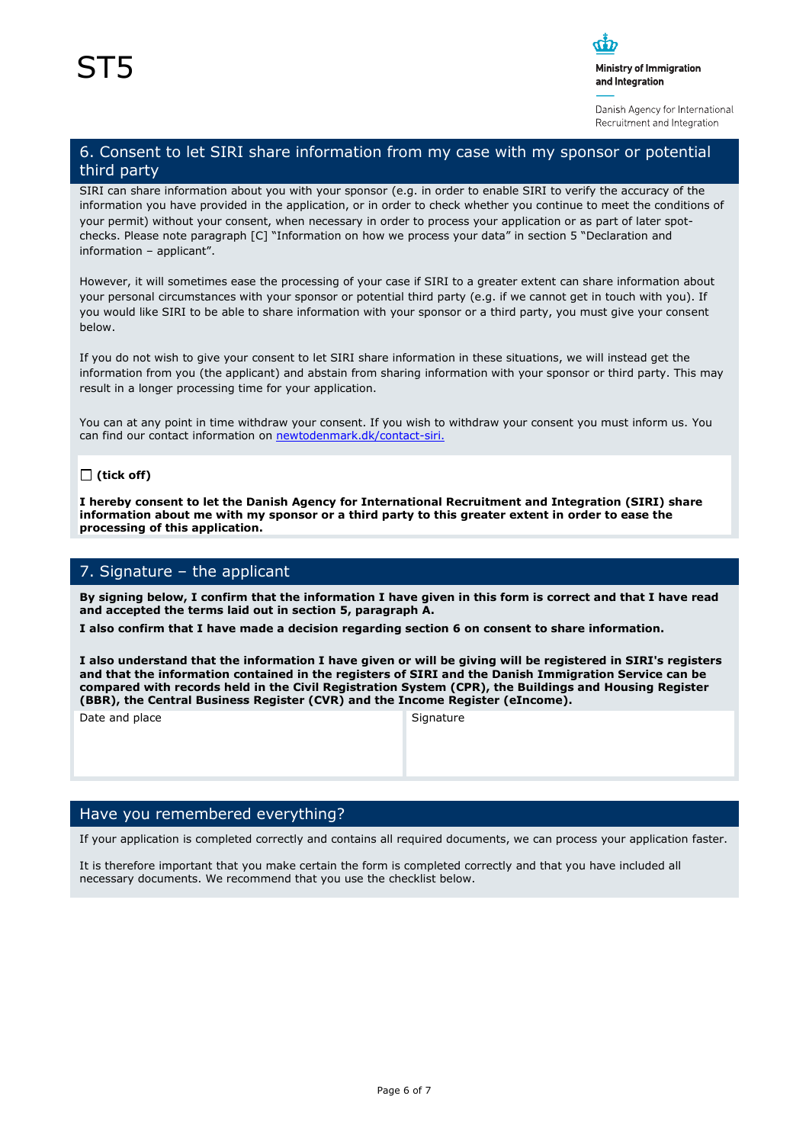

Danish Agency for International Recruitment and Integration

# 6. Consent to let SIRI share information from my case with my sponsor or potential third party

SIRI can share information about you with your sponsor (e.g. in order to enable SIRI to verify the accuracy of the information you have provided in the application, or in order to check whether you continue to meet the conditions of your permit) without your consent, when necessary in order to process your application or as part of later spotchecks. Please note paragraph [C] "Information on how we process your data" in section 5 "Declaration and information – applicant".

However, it will sometimes ease the processing of your case if SIRI to a greater extent can share information about your personal circumstances with your sponsor or potential third party (e.g. if we cannot get in touch with you). If you would like SIRI to be able to share information with your sponsor or a third party, you must give your consent below.

If you do not wish to give your consent to let SIRI share information in these situations, we will instead get the information from you (the applicant) and abstain from sharing information with your sponsor or third party. This may result in a longer processing time for your application.

You can at any point in time withdraw your consent. If you wish to withdraw your consent you must inform us. You can find our contact information on [newtodenmark.dk/contact-siri.](http://www.newtodenmark.dk/contact-siri)

### **(tick off)**

**I hereby consent to let the Danish Agency for International Recruitment and Integration (SIRI) share information about me with my sponsor or a third party to this greater extent in order to ease the processing of this application.**

# 7. Signature – the applicant

**By signing below, I confirm that the information I have given in this form is correct and that I have read and accepted the terms laid out in section 5, paragraph A.**

**I also confirm that I have made a decision regarding section 6 on consent to share information.**

**I also understand that the information I have given or will be giving will be registered in SIRI's registers and that the information contained in the registers of SIRI and the Danish Immigration Service can be compared with records held in the Civil Registration System (CPR), the Buildings and Housing Register (BBR), the Central Business Register (CVR) and the Income Register (eIncome).**

Date and place Signature Signature

## Have you remembered everything?

If your application is completed correctly and contains all required documents, we can process your application faster.

It is therefore important that you make certain the form is completed correctly and that you have included all necessary documents. We recommend that you use the checklist below.